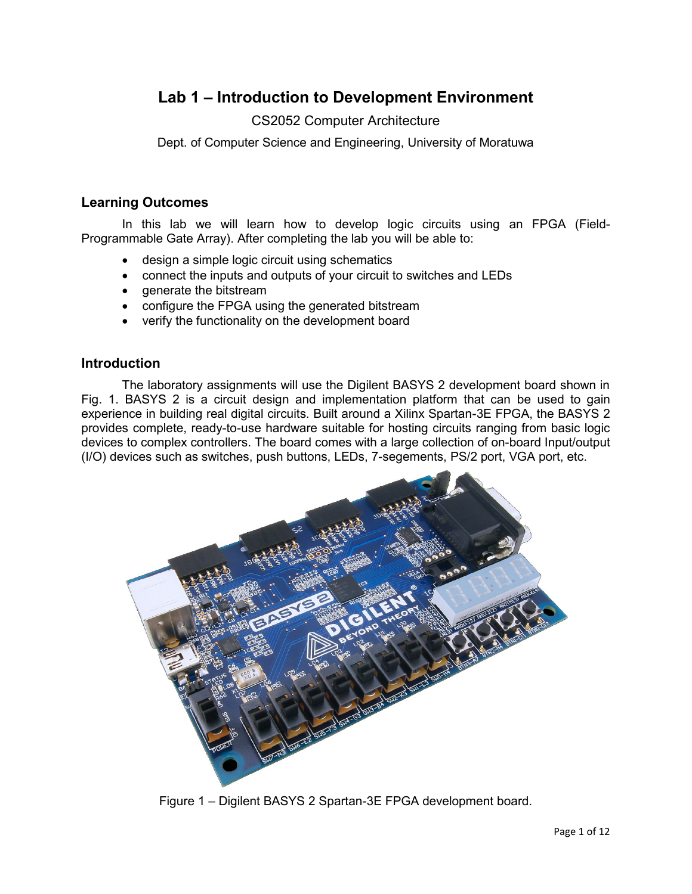# **Lab 1 – Introduction to Development Environment**

# CS2052 Computer Architecture

Dept. of Computer Science and Engineering, University of Moratuwa

# **Learning Outcomes**

In this lab we will learn how to develop logic circuits using an FPGA (Field-Programmable Gate Array). After completing the lab you will be able to:

- design a simple logic circuit using schematics
- connect the inputs and outputs of your circuit to switches and LEDs
- generate the bitstream
- configure the FPGA using the generated bitstream
- verify the functionality on the development board

## **Introduction**

The laboratory assignments will use the Digilent BASYS 2 development board shown in Fig. 1. BASYS 2 is a circuit design and implementation platform that can be used to gain experience in building real digital circuits. Built around a Xilinx Spartan-3E FPGA, the BASYS 2 provides complete, ready-to-use hardware suitable for hosting circuits ranging from basic logic devices to complex controllers. The board comes with a large collection of on-board Input/output (I/O) devices such as switches, push buttons, LEDs, 7-segements, PS/2 port, VGA port, etc.



Figure 1 – Digilent BASYS 2 Spartan-3E FPGA development board.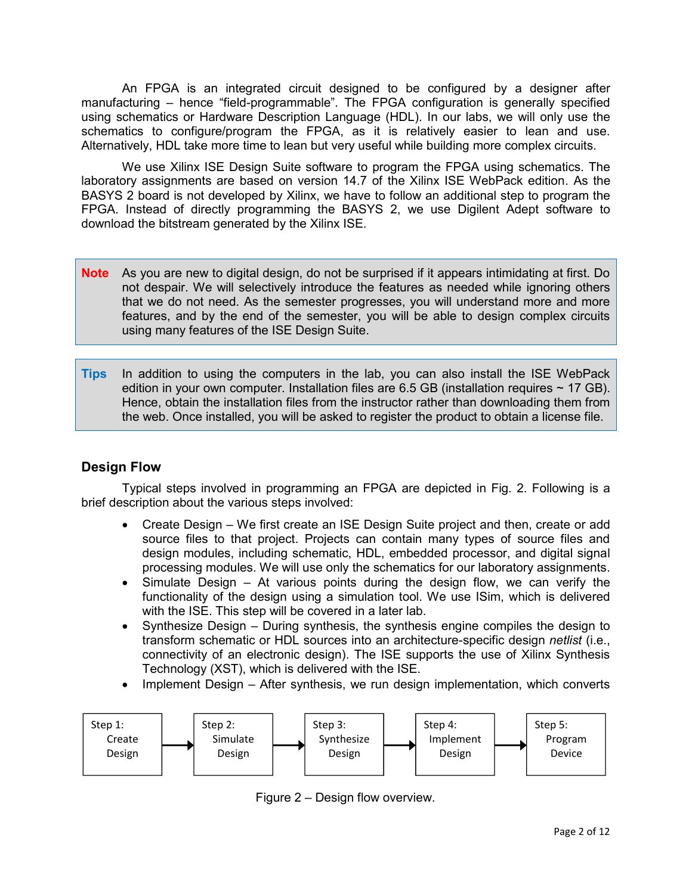An FPGA is an integrated circuit designed to be configured by a designer after manufacturing – hence "field-programmable". The FPGA configuration is generally specified using schematics or Hardware Description Language (HDL). In our labs, we will only use the schematics to configure/program the FPGA, as it is relatively easier to lean and use. Alternatively, HDL take more time to lean but very useful while building more complex circuits.

We use Xilinx ISE Design Suite software to program the FPGA using schematics. The laboratory assignments are based on version 14.7 of the Xilinx ISE WebPack edition. As the BASYS 2 board is not developed by Xilinx, we have to follow an additional step to program the FPGA. Instead of directly programming the BASYS 2, we use Digilent Adept software to download the bitstream generated by the Xilinx ISE.

- **Note** As you are new to digital design, do not be surprised if it appears intimidating at first. Do not despair. We will selectively introduce the features as needed while ignoring others that we do not need. As the semester progresses, you will understand more and more features, and by the end of the semester, you will be able to design complex circuits using many features of the ISE Design Suite.
- **Tips** In addition to using the computers in the lab, you can also install the ISE WebPack edition in your own computer. Installation files are  $6.5$  GB (installation requires  $\sim$  17 GB). Hence, obtain the installation files from the instructor rather than downloading them from the web. Once installed, you will be asked to register the product to obtain a license file.

# **Design Flow**

Typical steps involved in programming an FPGA are depicted in Fig. 2. Following is a brief description about the various steps involved:

- Create Design We first create an ISE Design Suite project and then, create or add source files to that project. Projects can contain many types of source files and design modules, including schematic, HDL, embedded processor, and digital signal processing modules. We will use only the schematics for our laboratory assignments.
- Simulate Design At various points during the design flow, we can verify the functionality of the design using a simulation tool. We use ISim, which is delivered with the ISE. This step will be covered in a later lab.
- Synthesize Design During synthesis, the synthesis engine compiles the design to transform schematic or HDL sources into an architecture-specific design *netlist* (i.e., connectivity of an electronic design). The ISE supports the use of Xilinx Synthesis Technology (XST), which is delivered with the ISE.
- Implement Design After synthesis, we run design implementation, which converts



Figure 2 – Design flow overview.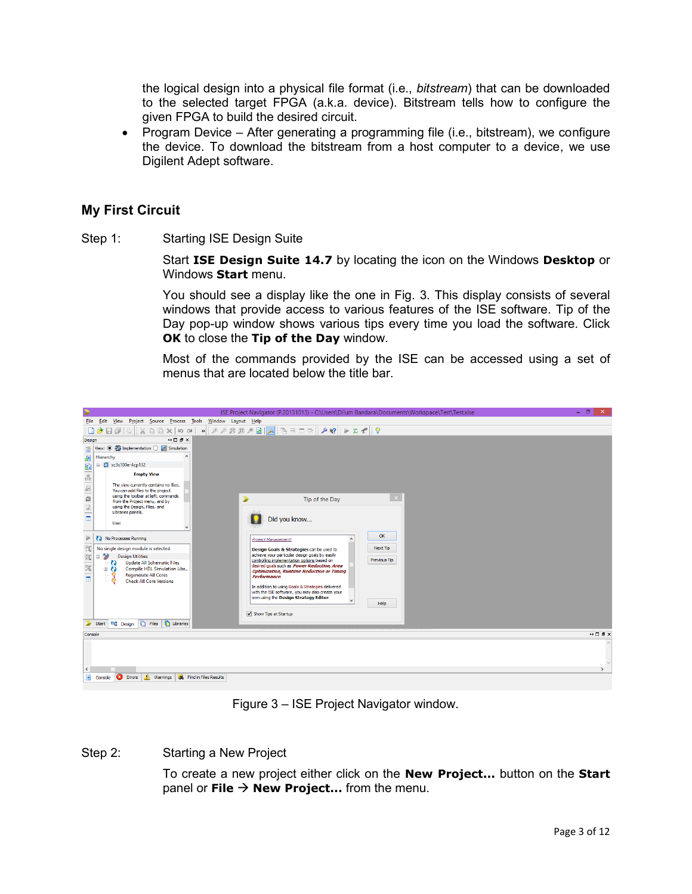the logical design into a physical file format (i.e., *bitstream*) that can be downloaded to the selected target FPGA (a.k.a. device). Bitstream tells how to configure the given FPGA to build the desired circuit.

• Program Device – After generating a programming file (i.e., bitstream), we configure the device. To download the bitstream from a host computer to a device, we use Digilent Adept software.

# **My First Circuit**

Step 1: Starting ISE Design Suite

Start **ISE Design Suite 14.7** by locating the icon on the Windows **Desktop** or Windows **Start** menu.

You should see a display like the one in Fig. 3. This display consists of several windows that provide access to various features of the ISE software. Tip of the Day pop-up window shows various tips every time you load the software. Click **OK** to close the **Tip of the Day** window.

Most of the commands provided by the ISE can be accessed using a set of menus that are located below the title bar.



Figure 3 – ISE Project Navigator window.

### Step 2: Starting a New Project

To create a new project either click on the **New Project...** button on the **Start** panel or **File**  $\rightarrow$  **New Project...** from the menu.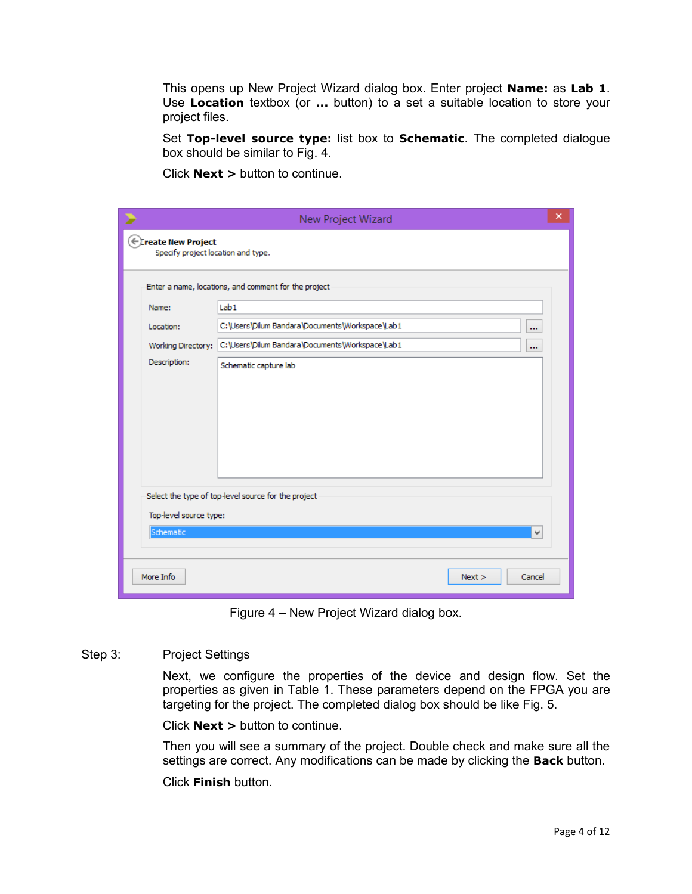This opens up New Project Wizard dialog box. Enter project **Name:** as **Lab 1**. Use **Location** textbox (or **...** button) to a set a suitable location to store your project files.

Set **Top-level source type:** list box to **Schematic**. The completed dialogue box should be similar to Fig. 4.

Click **Next >** button to continue.

|                                                            | New Project Wizard                                               | × |  |  |  |  |  |
|------------------------------------------------------------|------------------------------------------------------------------|---|--|--|--|--|--|
| ← Create New Project<br>Specify project location and type. |                                                                  |   |  |  |  |  |  |
|                                                            | Enter a name, locations, and comment for the project             |   |  |  |  |  |  |
| Name:                                                      | Lab <sub>1</sub>                                                 |   |  |  |  |  |  |
| Location:                                                  | C:\Users\Dilum Bandara\Documents\Workspace\Lab1<br>              |   |  |  |  |  |  |
| Working Directory:                                         | C: \Users \Dilum Bandara \Documents \Workspace \Lab1<br>$\cdots$ |   |  |  |  |  |  |
| Description:                                               | Schematic capture lab                                            |   |  |  |  |  |  |
| Top-level source type:                                     | Select the type of top-level source for the project              |   |  |  |  |  |  |
| Schematic                                                  | v                                                                |   |  |  |  |  |  |
| More Info                                                  | Next<br>Cancel                                                   |   |  |  |  |  |  |

Figure 4 – New Project Wizard dialog box.

#### Step 3: Project Settings

Next, we configure the properties of the device and design flow. Set the properties as given in Table 1. These parameters depend on the FPGA you are targeting for the project. The completed dialog box should be like Fig. 5.

Click **Next >** button to continue.

Then you will see a summary of the project. Double check and make sure all the settings are correct. Any modifications can be made by clicking the **Back** button.

Click **Finish** button.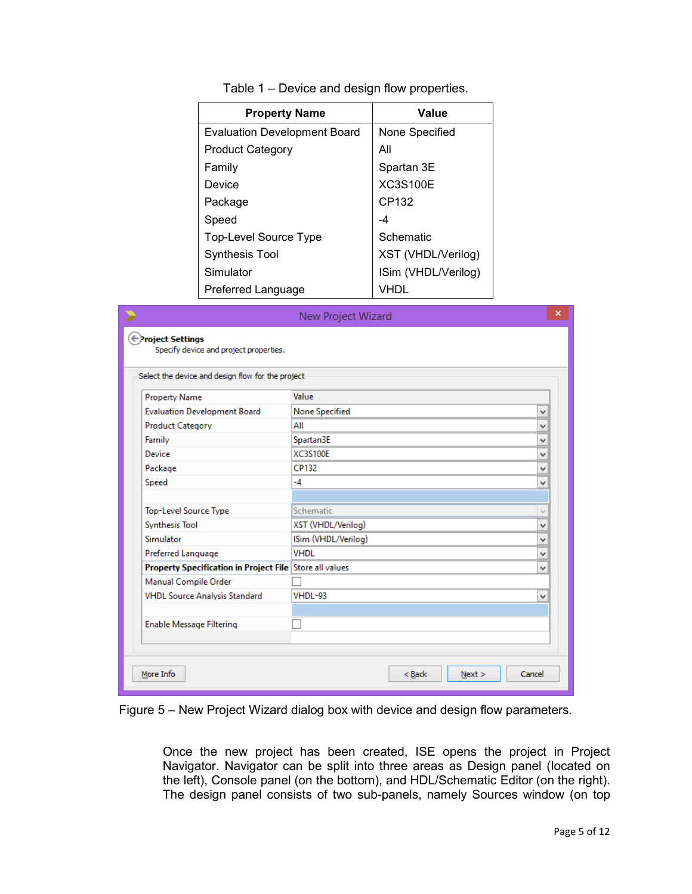| <b>Property Name</b>                | Value               |  |  |  |
|-------------------------------------|---------------------|--|--|--|
| <b>Evaluation Development Board</b> | None Specified      |  |  |  |
| <b>Product Category</b>             | All                 |  |  |  |
| Family                              | Spartan 3E          |  |  |  |
| Device                              | <b>XC3S100E</b>     |  |  |  |
| Package                             | CP132               |  |  |  |
| Speed                               | -4                  |  |  |  |
| <b>Top-Level Source Type</b>        | Schematic           |  |  |  |
| <b>Synthesis Tool</b>               | XST (VHDL/Verilog)  |  |  |  |
| Simulator                           | ISim (VHDL/Verilog) |  |  |  |
| Preferred Language                  |                     |  |  |  |

| Select the device and design flow for the project       |                       |   |
|---------------------------------------------------------|-----------------------|---|
| <b>Property Name</b>                                    | Value                 |   |
| <b>Evaluation Development Board</b>                     | <b>None Specified</b> | ٧ |
| <b>Product Category</b>                                 | ΑII                   | v |
| Family                                                  | Spartan3E             | v |
| Device                                                  | <b>XC3S100E</b>       | v |
| Package                                                 | CP132                 | v |
| Speed                                                   | -4                    | v |
|                                                         |                       |   |
| <b>Top-Level Source Type</b>                            | Schematic             | w |
| <b>Synthesis Tool</b>                                   | XST (VHDL/Verilog)    | v |
| Simulator                                               | ISim (VHDL/Verilog)   | v |
| Preferred Language                                      | <b>VHDL</b>           | v |
| Property Specification in Project File Store all values |                       | v |
| Manual Compile Order                                    |                       |   |
| <b>VHDL Source Analysis Standard</b>                    | VHDL-93               | v |
|                                                         |                       |   |
| <b>Enable Message Filtering</b>                         |                       |   |

Figure 5 – New Project Wizard dialog box with device and design flow parameters.

Once the new project has been created, ISE opens the project in Project Navigator. Navigator can be split into three areas as Design panel (located on the left), Console panel (on the bottom), and HDL/Schematic Editor (on the right). The design panel consists of two sub-panels, namely Sources window (on top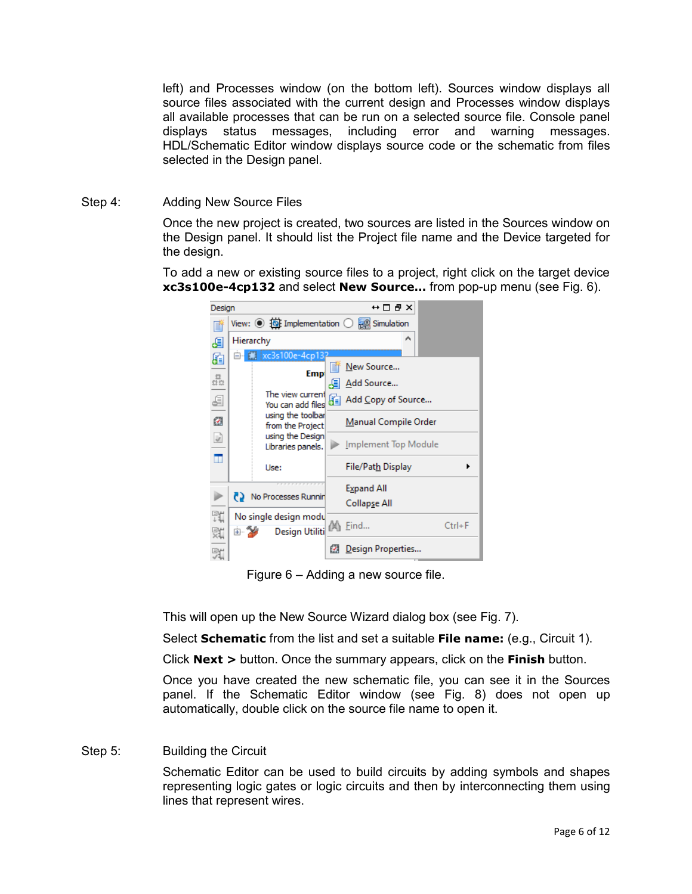left) and Processes window (on the bottom left). Sources window displays all source files associated with the current design and Processes window displays all available processes that can be run on a selected source file. Console panel displays status messages, including error and warning messages. HDL/Schematic Editor window displays source code or the schematic from files selected in the Design panel.

Step 4: Adding New Source Files

Once the new project is created, two sources are listed in the Sources window on the Design panel. It should list the Project file name and the Device targeted for the design.

To add a new or existing source files to a project, right click on the target device **xc3s100e-4cp132** and select **New Source…** from pop-up menu (see Fig. 6).



Figure 6 – Adding a new source file.

This will open up the New Source Wizard dialog box (see Fig. 7).

Select **Schematic** from the list and set a suitable **File name:** (e.g., Circuit 1).

Click **Next >** button. Once the summary appears, click on the **Finish** button.

Once you have created the new schematic file, you can see it in the Sources panel. If the Schematic Editor window (see Fig. 8) does not open up automatically, double click on the source file name to open it.

# Step 5: Building the Circuit

Schematic Editor can be used to build circuits by adding symbols and shapes representing logic gates or logic circuits and then by interconnecting them using lines that represent wires.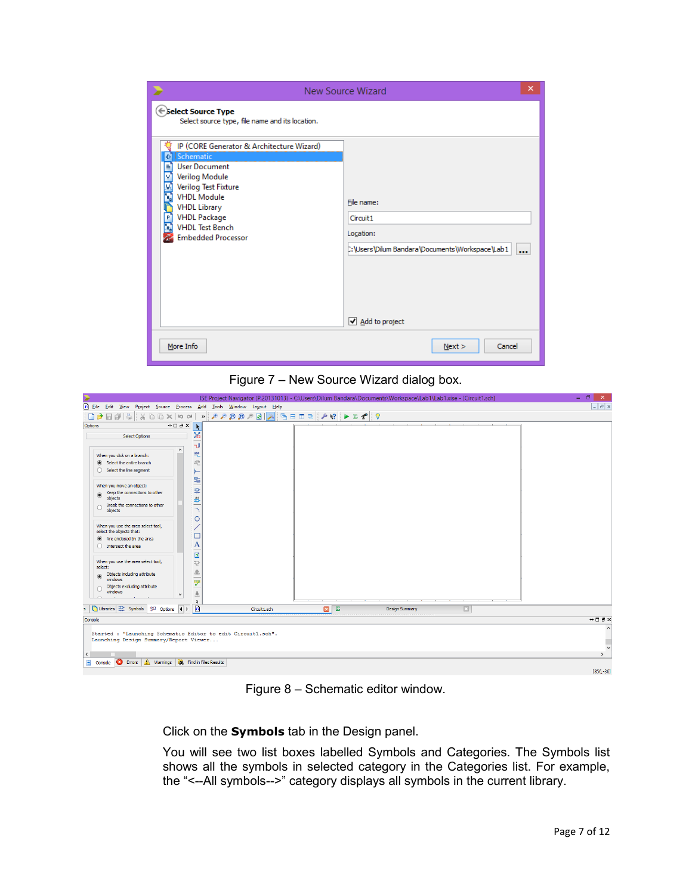|                                                                                                                                                                                                                                                                         | ×<br>New Source Wizard                                                                                                                    |
|-------------------------------------------------------------------------------------------------------------------------------------------------------------------------------------------------------------------------------------------------------------------------|-------------------------------------------------------------------------------------------------------------------------------------------|
| ← Select Source Type<br>Select source type, file name and its location.                                                                                                                                                                                                 |                                                                                                                                           |
| IP (CORE Generator & Architecture Wizard)<br>Schematic<br>Ð<br><b>User Document</b><br>E<br>Verilog Module<br>v<br>Verilog Test Fixture<br><b>VHDL Module</b><br><b>VHDL Library</b><br>P<br><b>VHDL Package</b><br><b>VHDL Test Bench</b><br><b>Embedded Processor</b> | File name:<br>Circuit1<br>Location:<br>: \Users\Dilum Bandara\Documents\Workspace\Lab1<br>$\cdots$<br>$\sqrt{\phantom{a}}$ Add to project |
| More Info                                                                                                                                                                                                                                                               | Cancel<br>Next                                                                                                                            |

Figure 7 – New Source Wizard dialog box.

| ⋗                                                                                                      |                |  |              |  |   |          |  | ISE Project Navigator (P.20131013) - C:\Users\Dilum Bandara\Documents\Workspace\Lab1\Lab1.xise - [Circuit1.sch] |                     |  | $ \Box$ | $\boldsymbol{\times}$ |
|--------------------------------------------------------------------------------------------------------|----------------|--|--------------|--|---|----------|--|-----------------------------------------------------------------------------------------------------------------|---------------------|--|---------|-----------------------|
| $\bullet$<br>File Edit View Project Source Process Add Tools Window Layout Help                        |                |  |              |  |   |          |  |                                                                                                                 |                     |  |         | $ F$ $x$              |
| 품<br>$X \oplus \square \times \sim \sim$<br>$\bullet$<br>ó                                             |                |  |              |  |   |          |  |                                                                                                                 |                     |  |         |                       |
| $\leftrightarrow$ 0 $\theta$ $\times$<br>Options                                                       | $\mathbf{r}$   |  |              |  |   |          |  |                                                                                                                 |                     |  |         |                       |
| <b>Select Options</b>                                                                                  | X              |  |              |  |   |          |  |                                                                                                                 |                     |  |         |                       |
|                                                                                                        | ٦J             |  |              |  |   |          |  |                                                                                                                 |                     |  |         |                       |
| When you click on a branch:                                                                            | 些              |  |              |  |   |          |  |                                                                                                                 |                     |  |         |                       |
| Select the entire branch                                                                               | $rac{a(0)}{2}$ |  |              |  |   |          |  |                                                                                                                 |                     |  |         |                       |
| $\bigcirc$ Select the line segment                                                                     | ⊢              |  |              |  |   |          |  |                                                                                                                 |                     |  |         |                       |
|                                                                                                        |                |  |              |  |   |          |  |                                                                                                                 |                     |  |         |                       |
| When you move an object:                                                                               | 特制             |  |              |  |   |          |  |                                                                                                                 |                     |  |         |                       |
| Keep the connections to other<br>$\odot$<br>objects                                                    |                |  |              |  |   |          |  |                                                                                                                 |                     |  |         |                       |
| Break the connections to other                                                                         | £,             |  |              |  |   |          |  |                                                                                                                 |                     |  |         |                       |
| objects                                                                                                | $\bar{1}$      |  |              |  |   |          |  |                                                                                                                 |                     |  |         |                       |
|                                                                                                        | $\circ$        |  |              |  |   |          |  |                                                                                                                 |                     |  |         |                       |
| When you use the area select tool,<br>select the objects that:                                         |                |  |              |  |   |          |  |                                                                                                                 |                     |  |         |                       |
| • Are endosed by the area                                                                              | □              |  |              |  |   |          |  |                                                                                                                 |                     |  |         |                       |
| Intersect the area<br>O.                                                                               | A              |  |              |  |   |          |  |                                                                                                                 |                     |  |         |                       |
|                                                                                                        | ø              |  |              |  |   |          |  |                                                                                                                 |                     |  |         |                       |
| When you use the area select tool,<br>select:                                                          | ę              |  |              |  |   |          |  |                                                                                                                 |                     |  |         |                       |
| Objects including attribute<br>$\circledbullet$                                                        | ⚠              |  |              |  |   |          |  |                                                                                                                 |                     |  |         |                       |
| windows<br>Objects excluding attribute                                                                 | ÿ              |  |              |  |   |          |  |                                                                                                                 |                     |  |         |                       |
| $\bigcirc$<br>windows                                                                                  | 悬              |  |              |  |   |          |  |                                                                                                                 |                     |  |         |                       |
|                                                                                                        | ×.             |  |              |  |   |          |  |                                                                                                                 |                     |  |         |                       |
| s C Libraries 32 Symbols 32 Options 4 F                                                                | $\sqrt{6}$     |  | Circuit1.sch |  | 図 | $\Sigma$ |  | <b>Design Summary</b>                                                                                           | $\boxed{\boxtimes}$ |  |         |                       |
| Console                                                                                                |                |  |              |  |   |          |  |                                                                                                                 |                     |  |         | $H \Box B$ $\times$   |
|                                                                                                        |                |  |              |  |   |          |  |                                                                                                                 |                     |  |         | $\wedge$              |
| Started : "Launching Schematic Editor to edit Circuit1.sch".<br>Launching Design Summary/Report Viewer |                |  |              |  |   |          |  |                                                                                                                 |                     |  |         |                       |
|                                                                                                        |                |  |              |  |   |          |  |                                                                                                                 |                     |  |         | $\checkmark$          |
| Ł                                                                                                      |                |  |              |  |   |          |  |                                                                                                                 |                     |  |         | $\,$                  |
| Warnings <b>M</b> Find in Files Results<br><b>B</b> Errors<br>Console                                  |                |  |              |  |   |          |  |                                                                                                                 |                     |  |         |                       |
|                                                                                                        |                |  |              |  |   |          |  |                                                                                                                 |                     |  |         | $[856, -36]$          |



Click on the **Symbols** tab in the Design panel.

You will see two list boxes labelled Symbols and Categories. The Symbols list shows all the symbols in selected category in the Categories list. For example, the "<--All symbols-->" category displays all symbols in the current library.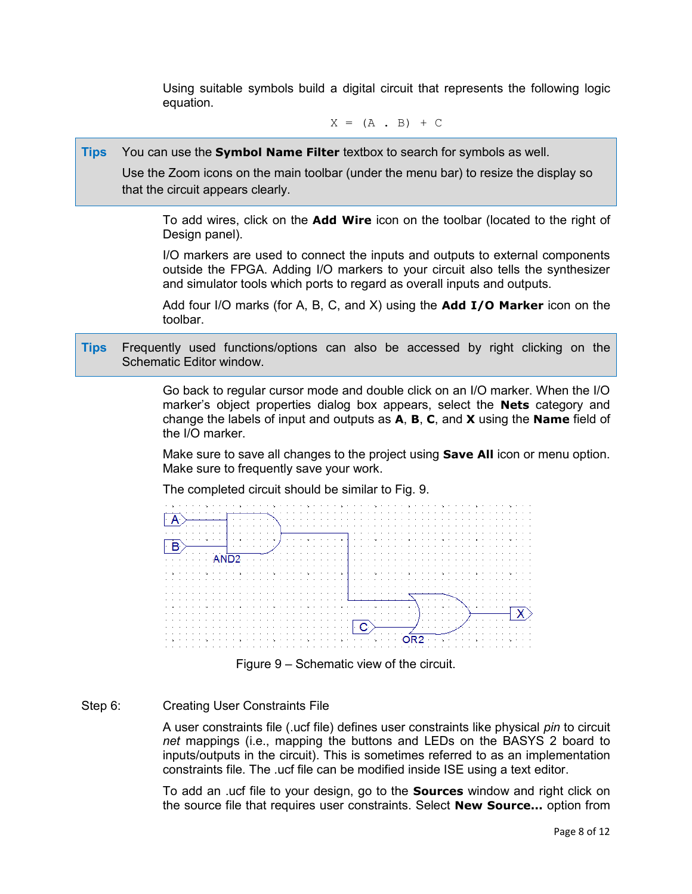Using suitable symbols build a digital circuit that represents the following logic equation.

 $X = (A \cdot B) + C$ 

**Tips** You can use the **Symbol Name Filter** textbox to search for symbols as well.

Use the Zoom icons on the main toolbar (under the menu bar) to resize the display so that the circuit appears clearly.

To add wires, click on the **Add Wire** icon on the toolbar (located to the right of Design panel).

I/O markers are used to connect the inputs and outputs to external components outside the FPGA. Adding I/O markers to your circuit also tells the synthesizer and simulator tools which ports to regard as overall inputs and outputs.

Add four I/O marks (for A, B, C, and X) using the **Add I/O Marker** icon on the toolbar.

**Tips** Frequently used functions/options can also be accessed by right clicking on the Schematic Editor window.

> Go back to regular cursor mode and double click on an I/O marker. When the I/O marker's object properties dialog box appears, select the **Nets** category and change the labels of input and outputs as **A**, **B**, **C**, and **X** using the **Name** field of the I/O marker.

> Make sure to save all changes to the project using **Save All** icon or menu option. Make sure to frequently save your work.

The completed circuit should be similar to Fig. 9.



Figure 9 – Schematic view of the circuit.

#### Step 6: Creating User Constraints File

A user constraints file (.ucf file) defines user constraints like physical *pin* to circuit *net* mappings (i.e., mapping the buttons and LEDs on the BASYS 2 board to inputs/outputs in the circuit). This is sometimes referred to as an implementation constraints file. The .ucf file can be modified inside ISE using a text editor.

To add an .ucf file to your design, go to the **Sources** window and right click on the source file that requires user constraints. Select **New Source...** option from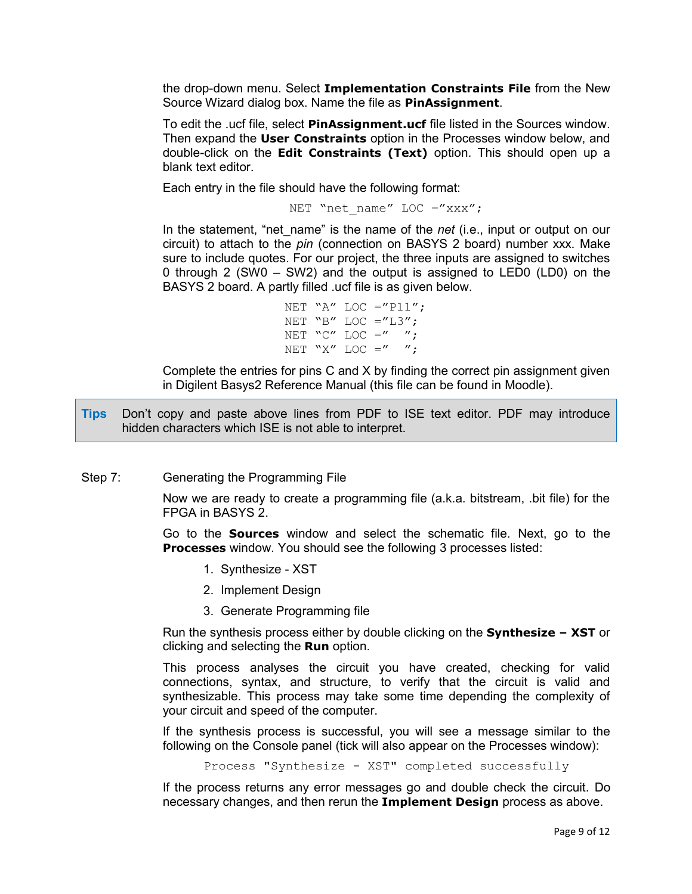the drop-down menu. Select **Implementation Constraints File** from the New Source Wizard dialog box. Name the file as **PinAssignment**.

To edit the .ucf file, select **PinAssignment.ucf** file listed in the Sources window. Then expand the **User Constraints** option in the Processes window below, and double-click on the **Edit Constraints (Text)** option. This should open up a blank text editor.

Each entry in the file should have the following format:

NET "net name" LOC ="xxx";

In the statement, "net name" is the name of the *net* (i.e., input or output on our circuit) to attach to the *pin* (connection on BASYS 2 board) number xxx. Make sure to include quotes. For our project, the three inputs are assigned to switches 0 through 2 (SW0 – SW2) and the output is assigned to LED0 (LD0) on the BASYS 2 board. A partly filled .ucf file is as given below.

```
NET "A" LOC ="P11";
NET "B" LOC ="L3";
NET C'' LOC =" ";
NET "X" LOC =" ";
```
Complete the entries for pins C and X by finding the correct pin assignment given in Digilent Basys2 Reference Manual (this file can be found in Moodle).

- **Tips** Don't copy and paste above lines from PDF to ISE text editor. PDF may introduce hidden characters which ISE is not able to interpret.
- Step 7: Generating the Programming File

Now we are ready to create a programming file (a.k.a. bitstream, .bit file) for the FPGA in BASYS 2.

Go to the **Sources** window and select the schematic file. Next, go to the **Processes** window. You should see the following 3 processes listed:

- 1. Synthesize XST
- 2. Implement Design
- 3. Generate Programming file

Run the synthesis process either by double clicking on the **Synthesize – XST** or clicking and selecting the **Run** option.

This process analyses the circuit you have created, checking for valid connections, syntax, and structure, to verify that the circuit is valid and synthesizable. This process may take some time depending the complexity of your circuit and speed of the computer.

If the synthesis process is successful, you will see a message similar to the following on the Console panel (tick will also appear on the Processes window):

Process "Synthesize - XST" completed successfully

If the process returns any error messages go and double check the circuit. Do necessary changes, and then rerun the **Implement Design** process as above.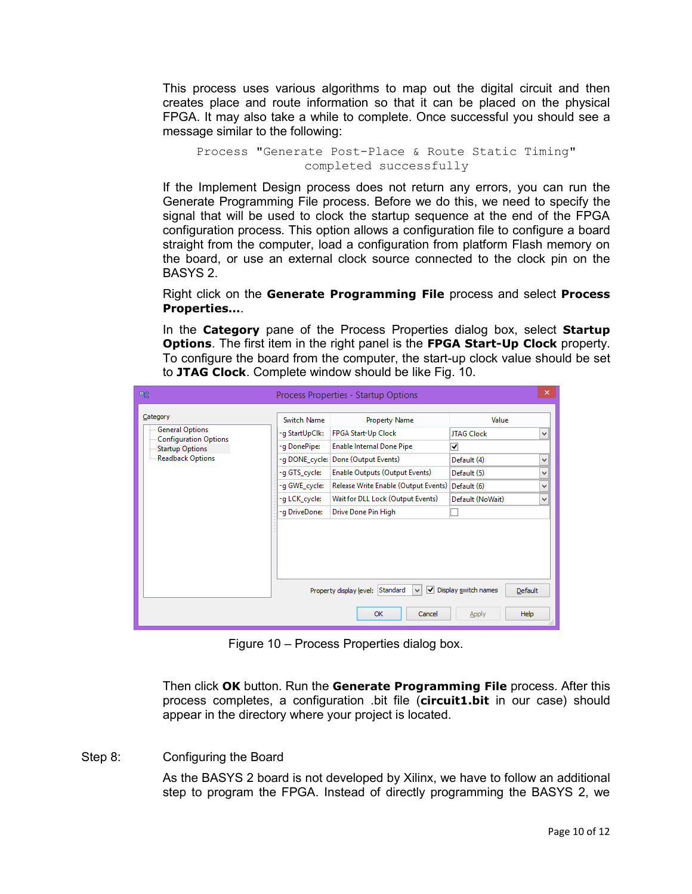This process uses various algorithms to map out the digital circuit and then creates place and route information so that it can be placed on the physical FPGA. It may also take a while to complete. Once successful you should see a message similar to the following:

Process "Generate Post-Place & Route Static Timing" completed successfully

If the Implement Design process does not return any errors, you can run the Generate Programming File process. Before we do this, we need to specify the signal that will be used to clock the startup sequence at the end of the FPGA configuration process. This option allows a configuration file to configure a board straight from the computer, load a configuration from platform Flash memory on the board, or use an external clock source connected to the clock pin on the BASYS 2.

Right click on the **Generate Programming File** process and select **Process Properties…**.

In the **Category** pane of the Process Properties dialog box, select **Startup Options**. The first item in the right panel is the **FPGA Start-Up Clock** property. To configure the board from the computer, the start-up clock value should be set to **JTAG Clock**. Complete window should be like Fig. 10.

| 配                                                                                                                |                                                                                                                   | Process Properties - Startup Options                                                                                                                                                                                                                                                                                              |                                                                                                                        | $\times$                         |
|------------------------------------------------------------------------------------------------------------------|-------------------------------------------------------------------------------------------------------------------|-----------------------------------------------------------------------------------------------------------------------------------------------------------------------------------------------------------------------------------------------------------------------------------------------------------------------------------|------------------------------------------------------------------------------------------------------------------------|----------------------------------|
| Category<br><b>General Options</b><br><b>Configuration Options</b><br><b>Startup Options</b><br>Readback Options | Switch Name<br>-g StartUpClk:<br>-g DonePipe:<br>-g GTS_cycle:<br>-g GWE_cycle:<br>-g LCK_cycle:<br>-g DriveDone: | <b>Property Name</b><br>FPGA Start-Up Clock<br><b>Enable Internal Done Pipe</b><br>-g DONE_cycle: Done (Output Events)<br>Enable Outputs (Output Events)<br>Release Write Enable (Output Events)   Default (6)<br>Wait for DLL Lock (Output Events)<br>Drive Done Pin High<br>Standard<br>Property display level:<br>$\checkmark$ | Value<br><b>JTAG Clock</b><br>⊽<br>Default (4)<br>Default (5)<br>Default (NoWait)<br>√ Display switch names<br>Default | v<br>$\checkmark$<br>v<br>v<br>٧ |
|                                                                                                                  |                                                                                                                   | OK<br>Cancel                                                                                                                                                                                                                                                                                                                      | Help<br><b>Apply</b>                                                                                                   |                                  |

Figure 10 – Process Properties dialog box.

Then click **OK** button. Run the **Generate Programming File** process. After this process completes, a configuration .bit file (**circuit1.bit** in our case) should appear in the directory where your project is located.

### Step 8: Configuring the Board

As the BASYS 2 board is not developed by Xilinx, we have to follow an additional step to program the FPGA. Instead of directly programming the BASYS 2, we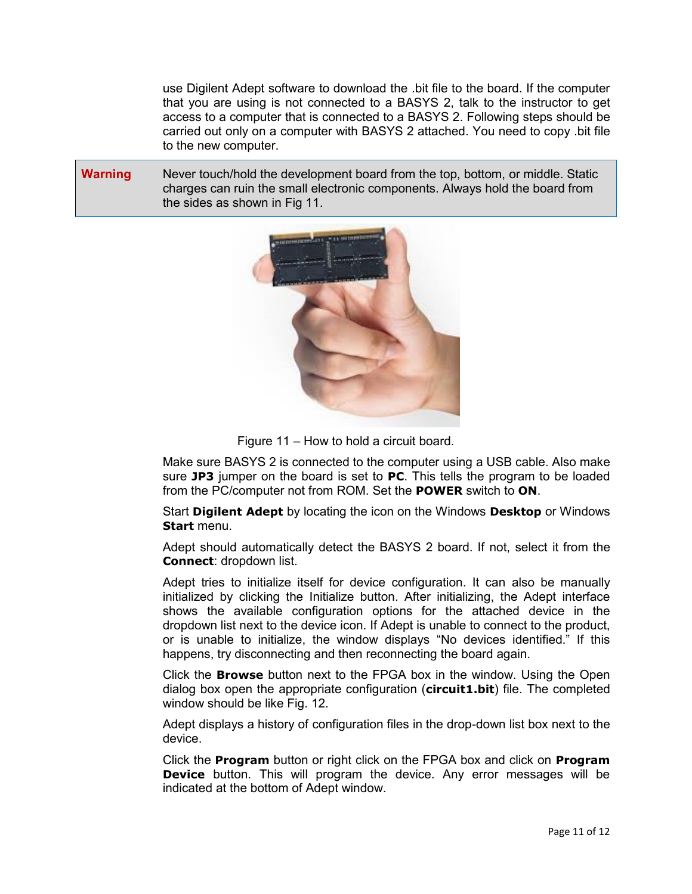use Digilent Adept software to download the .bit file to the board. If the computer that you are using is not connected to a BASYS 2, talk to the instructor to get access to a computer that is connected to a BASYS 2. Following steps should be carried out only on a computer with BASYS 2 attached. You need to copy .bit file to the new computer.

**Warning** Never touch/hold the development board from the top, bottom, or middle. Static charges can ruin the small electronic components. Always hold the board from the sides as shown in Fig 11.





Make sure BASYS 2 is connected to the computer using a USB cable. Also make sure **JP3** jumper on the board is set to **PC**. This tells the program to be loaded from the PC/computer not from ROM. Set the **POWER** switch to **ON**.

Start **Digilent Adept** by locating the icon on the Windows **Desktop** or Windows **Start** menu.

Adept should automatically detect the BASYS 2 board. If not, select it from the **Connect**: dropdown list.

Adept tries to initialize itself for device configuration. It can also be manually initialized by clicking the Initialize button. After initializing, the Adept interface shows the available configuration options for the attached device in the dropdown list next to the device icon. If Adept is unable to connect to the product, or is unable to initialize, the window displays "No devices identified." If this happens, try disconnecting and then reconnecting the board again.

Click the **Browse** button next to the FPGA box in the window. Using the Open dialog box open the appropriate configuration (**circuit1.bit**) file. The completed window should be like Fig. 12.

Adept displays a history of configuration files in the drop-down list box next to the device.

Click the **Program** button or right click on the FPGA box and click on **Program Device** button. This will program the device. Any error messages will be indicated at the bottom of Adept window.